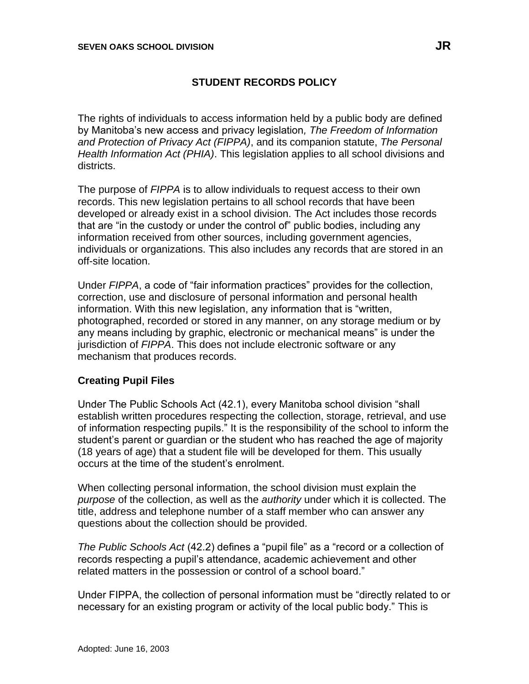# **STUDENT RECORDS POLICY**

The rights of individuals to access information held by a public body are defined by Manitoba's new access and privacy legislation*, The Freedom of Information and Protection of Privacy Act (FIPPA)*, and its companion statute, *The Personal Health Information Act (PHIA)*. This legislation applies to all school divisions and districts.

The purpose of *FIPPA* is to allow individuals to request access to their own records. This new legislation pertains to all school records that have been developed or already exist in a school division. The Act includes those records that are "in the custody or under the control of" public bodies, including any information received from other sources, including government agencies, individuals or organizations. This also includes any records that are stored in an off-site location.

Under *FIPPA*, a code of "fair information practices" provides for the collection, correction, use and disclosure of personal information and personal health information. With this new legislation, any information that is "written, photographed, recorded or stored in any manner, on any storage medium or by any means including by graphic, electronic or mechanical means" is under the jurisdiction of *FIPPA*. This does not include electronic software or any mechanism that produces records.

### **Creating Pupil Files**

Under The Public Schools Act (42.1), every Manitoba school division "shall establish written procedures respecting the collection, storage, retrieval, and use of information respecting pupils." It is the responsibility of the school to inform the student's parent or guardian or the student who has reached the age of majority (18 years of age) that a student file will be developed for them. This usually occurs at the time of the student's enrolment.

When collecting personal information, the school division must explain the *purpose* of the collection, as well as the *authority* under which it is collected. The title, address and telephone number of a staff member who can answer any questions about the collection should be provided.

*The Public Schools Act* (42.2) defines a "pupil file" as a "record or a collection of records respecting a pupil's attendance, academic achievement and other related matters in the possession or control of a school board."

Under FIPPA, the collection of personal information must be "directly related to or necessary for an existing program or activity of the local public body." This is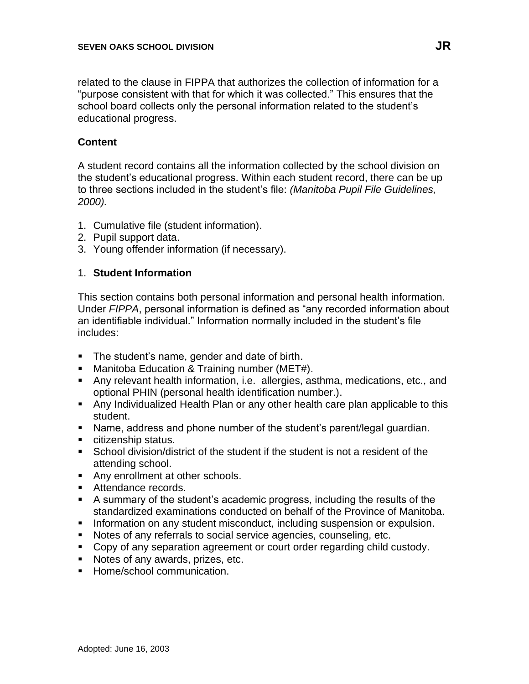related to the clause in FIPPA that authorizes the collection of information for a "purpose consistent with that for which it was collected." This ensures that the school board collects only the personal information related to the student's educational progress.

### **Content**

A student record contains all the information collected by the school division on the student's educational progress. Within each student record, there can be up to three sections included in the student's file: *(Manitoba Pupil File Guidelines, 2000).*

- 1. Cumulative file (student information).
- 2. Pupil support data.
- 3. Young offender information (if necessary).

#### 1. **Student Information**

This section contains both personal information and personal health information. Under *FIPPA*, personal information is defined as "any recorded information about an identifiable individual." Information normally included in the student's file includes:

- The student's name, gender and date of birth.
- Manitoba Education & Training number (MET#).
- Any relevant health information, i.e. allergies, asthma, medications, etc., and optional PHIN (personal health identification number.).
- Any Individualized Health Plan or any other health care plan applicable to this student.
- Name, address and phone number of the student's parent/legal guardian.
- citizenship status.
- School division/district of the student if the student is not a resident of the attending school.
- Any enrollment at other schools.
- Attendance records.
- A summary of the student's academic progress, including the results of the standardized examinations conducted on behalf of the Province of Manitoba.
- **E** Information on any student misconduct, including suspension or expulsion.
- Notes of any referrals to social service agencies, counseling, etc.
- Copy of any separation agreement or court order regarding child custody.
- Notes of any awards, prizes, etc.
- Home/school communication.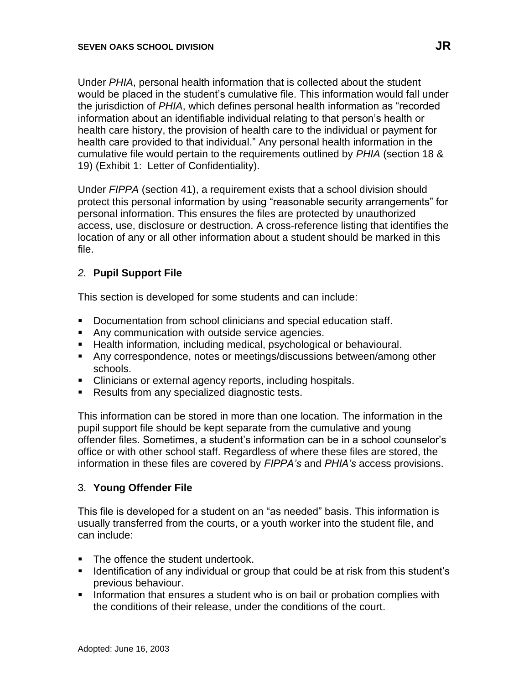Under *PHIA*, personal health information that is collected about the student would be placed in the student's cumulative file. This information would fall under the jurisdiction of *PHIA*, which defines personal health information as "recorded information about an identifiable individual relating to that person's health or health care history, the provision of health care to the individual or payment for health care provided to that individual." Any personal health information in the cumulative file would pertain to the requirements outlined by *PHIA* (section 18 & 19) (Exhibit 1: Letter of Confidentiality).

Under *FIPPA* (section 41), a requirement exists that a school division should protect this personal information by using "reasonable security arrangements" for personal information. This ensures the files are protected by unauthorized access, use, disclosure or destruction. A cross-reference listing that identifies the location of any or all other information about a student should be marked in this file.

### *2.* **Pupil Support File**

This section is developed for some students and can include:

- Documentation from school clinicians and special education staff.
- Any communication with outside service agencies.
- Health information, including medical, psychological or behavioural.
- Any correspondence, notes or meetings/discussions between/among other schools.
- Clinicians or external agency reports, including hospitals.
- Results from any specialized diagnostic tests.

This information can be stored in more than one location. The information in the pupil support file should be kept separate from the cumulative and young offender files. Sometimes, a student's information can be in a school counselor's office or with other school staff. Regardless of where these files are stored, the information in these files are covered by *FIPPA's* and *PHIA's* access provisions.

#### 3. **Young Offender File**

This file is developed for a student on an "as needed" basis. This information is usually transferred from the courts, or a youth worker into the student file, and can include:

- The offence the student undertook.
- Identification of any individual or group that could be at risk from this student's previous behaviour.
- **EXTERN Information that ensures a student who is on bail or probation complies with** the conditions of their release, under the conditions of the court.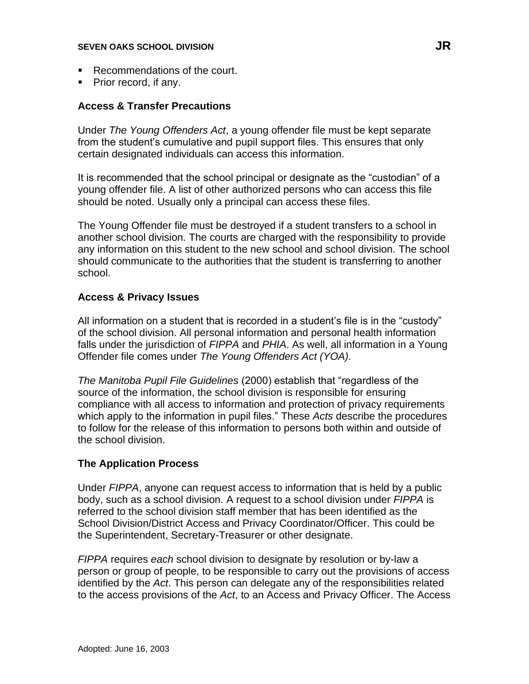- Recommendations of the court.
- Prior record, if any.

### **Access & Transfer Precautions**

Under *The Young Offenders Act*, a young offender file must be kept separate from the student's cumulative and pupil support files. This ensures that only certain designated individuals can access this information.

It is recommended that the school principal or designate as the "custodian" of a young offender file. A list of other authorized persons who can access this file should be noted. Usually only a principal can access these files.

The Young Offender file must be destroyed if a student transfers to a school in another school division. The courts are charged with the responsibility to provide any information on this student to the new school and school division. The school should communicate to the authorities that the student is transferring to another school.

## **Access & Privacy Issues**

All information on a student that is recorded in a student's file is in the "custody" of the school division. All personal information and personal health information falls under the jurisdiction of *FIPPA* and *PHIA*. As well, all information in a Young Offender file comes under *The Young Offenders Act (YOA).*

*The Manitoba Pupil File Guidelines* (2000) establish that "regardless of the source of the information, the school division is responsible for ensuring compliance with all access to information and protection of privacy requirements which apply to the information in pupil files." These *Acts* describe the procedures to follow for the release of this information to persons both within and outside of the school division.

### **The Application Process**

Under *FIPPA*, anyone can request access to information that is held by a public body, such as a school division. A request to a school division under *FIPPA* is referred to the school division staff member that has been identified as the School Division/District Access and Privacy Coordinator/Officer. This could be the Superintendent, Secretary-Treasurer or other designate.

*FIPPA* requires *each* school division to designate by resolution or by-law a person or group of people, to be responsible to carry out the provisions of access identified by the *Act*. This person can delegate any of the responsibilities related to the access provisions of the *Act*, to an Access and Privacy Officer. The Access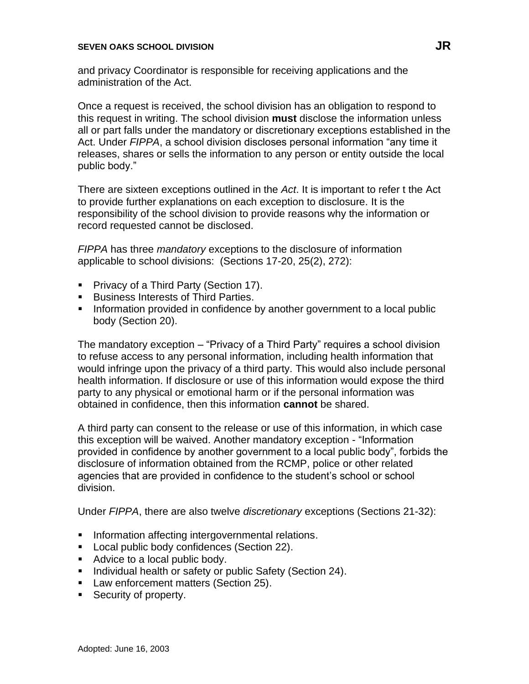and privacy Coordinator is responsible for receiving applications and the administration of the Act.

Once a request is received, the school division has an obligation to respond to this request in writing. The school division **must** disclose the information unless all or part falls under the mandatory or discretionary exceptions established in the Act. Under *FIPPA*, a school division discloses personal information "any time it releases, shares or sells the information to any person or entity outside the local public body."

There are sixteen exceptions outlined in the *Act*. It is important to refer t the Act to provide further explanations on each exception to disclosure. It is the responsibility of the school division to provide reasons why the information or record requested cannot be disclosed.

*FIPPA* has three *mandatory* exceptions to the disclosure of information applicable to school divisions: (Sections 17-20, 25(2), 272):

- Privacy of a Third Party (Section 17).
- Business Interests of Third Parties.
- **•** Information provided in confidence by another government to a local public body (Section 20).

The mandatory exception – "Privacy of a Third Party" requires a school division to refuse access to any personal information, including health information that would infringe upon the privacy of a third party. This would also include personal health information. If disclosure or use of this information would expose the third party to any physical or emotional harm or if the personal information was obtained in confidence, then this information **cannot** be shared.

A third party can consent to the release or use of this information, in which case this exception will be waived. Another mandatory exception - "Information provided in confidence by another government to a local public body", forbids the disclosure of information obtained from the RCMP, police or other related agencies that are provided in confidence to the student's school or school division.

Under *FIPPA*, there are also twelve *discretionary* exceptions (Sections 21-32):

- **•** Information affecting intergovernmental relations.
- Local public body confidences (Section 22).
- Advice to a local public body.
- Individual health or safety or public Safety (Section 24).
- Law enforcement matters (Section 25).
- Security of property.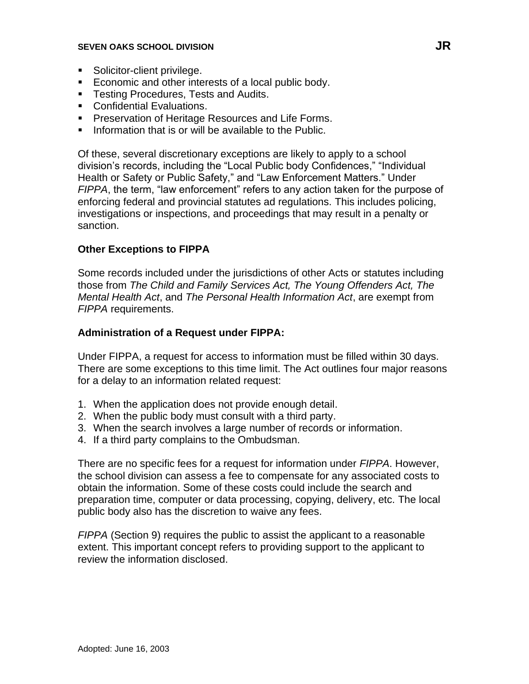- Solicitor-client privilege.
- Economic and other interests of a local public body.
- **Testing Procedures, Tests and Audits.**
- **Confidential Evaluations.**
- Preservation of Heritage Resources and Life Forms.
- Information that is or will be available to the Public.

Of these, several discretionary exceptions are likely to apply to a school division's records, including the "Local Public body Confidences," "Individual Health or Safety or Public Safety," and "Law Enforcement Matters." Under *FIPPA*, the term, "law enforcement" refers to any action taken for the purpose of enforcing federal and provincial statutes ad regulations. This includes policing, investigations or inspections, and proceedings that may result in a penalty or sanction.

## **Other Exceptions to FIPPA**

Some records included under the jurisdictions of other Acts or statutes including those from *The Child and Family Services Act, The Young Offenders Act, The Mental Health Act*, and *The Personal Health Information Act*, are exempt from *FIPPA* requirements.

#### **Administration of a Request under FIPPA:**

Under FIPPA, a request for access to information must be filled within 30 days. There are some exceptions to this time limit. The Act outlines four major reasons for a delay to an information related request:

- 1. When the application does not provide enough detail.
- 2. When the public body must consult with a third party.
- 3. When the search involves a large number of records or information.
- 4. If a third party complains to the Ombudsman.

There are no specific fees for a request for information under *FIPPA*. However, the school division can assess a fee to compensate for any associated costs to obtain the information. Some of these costs could include the search and preparation time, computer or data processing, copying, delivery, etc. The local public body also has the discretion to waive any fees.

*FIPPA* (Section 9) requires the public to assist the applicant to a reasonable extent. This important concept refers to providing support to the applicant to review the information disclosed.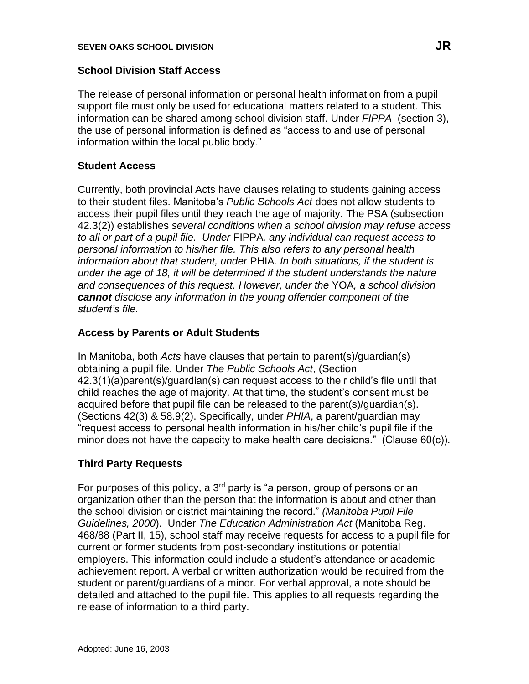### **School Division Staff Access**

The release of personal information or personal health information from a pupil support file must only be used for educational matters related to a student. This information can be shared among school division staff. Under *FIPPA* (section 3), the use of personal information is defined as "access to and use of personal information within the local public body."

### **Student Access**

Currently, both provincial Acts have clauses relating to students gaining access to their student files. Manitoba's *Public Schools Act* does not allow students to access their pupil files until they reach the age of majority. The PSA (subsection 42.3(2)) establishes *several conditions when a school division may refuse access to all or part of a pupil file. Under* FIPPA*, any individual can request access to personal information to his/her file. This also refers to any personal health information about that student, under* PHIA*. In both situations, if the student is under the age of 18, it will be determined if the student understands the nature and consequences of this request. However, under the* YOA*, a school division cannot disclose any information in the young offender component of the student's file.*

### **Access by Parents or Adult Students**

In Manitoba, both *Acts* have clauses that pertain to parent(s)/guardian(s) obtaining a pupil file. Under *The Public Schools Act*, (Section 42.3(1)(a)parent(s)/guardian(s) can request access to their child's file until that child reaches the age of majority. At that time, the student's consent must be acquired before that pupil file can be released to the parent(s)/guardian(s). (Sections 42(3) & 58.9(2). Specifically, under *PHIA*, a parent/guardian may "request access to personal health information in his/her child's pupil file if the minor does not have the capacity to make health care decisions." (Clause 60(c)).

### **Third Party Requests**

For purposes of this policy, a  $3<sup>rd</sup>$  party is "a person, group of persons or an organization other than the person that the information is about and other than the school division or district maintaining the record." *(Manitoba Pupil File Guidelines, 2000*). Under *The Education Administration Act* (Manitoba Reg. 468/88 (Part II, 15), school staff may receive requests for access to a pupil file for current or former students from post-secondary institutions or potential employers. This information could include a student's attendance or academic achievement report. A verbal or written authorization would be required from the student or parent/guardians of a minor. For verbal approval, a note should be detailed and attached to the pupil file. This applies to all requests regarding the release of information to a third party.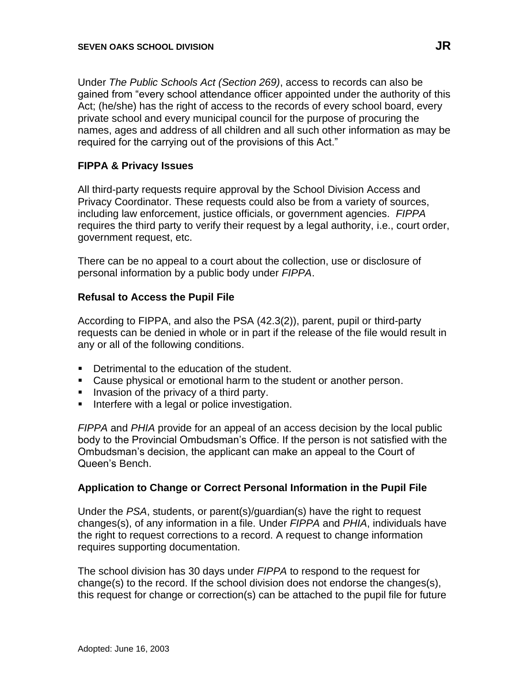Under *The Public Schools Act (Section 269)*, access to records can also be gained from "every school attendance officer appointed under the authority of this Act; (he/she) has the right of access to the records of every school board, every private school and every municipal council for the purpose of procuring the names, ages and address of all children and all such other information as may be required for the carrying out of the provisions of this Act."

### **FIPPA & Privacy Issues**

All third-party requests require approval by the School Division Access and Privacy Coordinator. These requests could also be from a variety of sources, including law enforcement, justice officials, or government agencies. *FIPPA* requires the third party to verify their request by a legal authority, i.e., court order, government request, etc.

There can be no appeal to a court about the collection, use or disclosure of personal information by a public body under *FIPPA*.

### **Refusal to Access the Pupil File**

According to FIPPA, and also the PSA (42.3(2)), parent, pupil or third-party requests can be denied in whole or in part if the release of the file would result in any or all of the following conditions.

- Detrimental to the education of the student.
- Cause physical or emotional harm to the student or another person.
- Invasion of the privacy of a third party.
- Interfere with a legal or police investigation.

*FIPPA* and *PHIA* provide for an appeal of an access decision by the local public body to the Provincial Ombudsman's Office. If the person is not satisfied with the Ombudsman's decision, the applicant can make an appeal to the Court of Queen's Bench.

#### **Application to Change or Correct Personal Information in the Pupil File**

Under the *PSA*, students, or parent(s)/guardian(s) have the right to request changes(s), of any information in a file. Under *FIPPA* and *PHIA*, individuals have the right to request corrections to a record. A request to change information requires supporting documentation.

The school division has 30 days under *FIPPA* to respond to the request for change(s) to the record. If the school division does not endorse the changes(s), this request for change or correction(s) can be attached to the pupil file for future